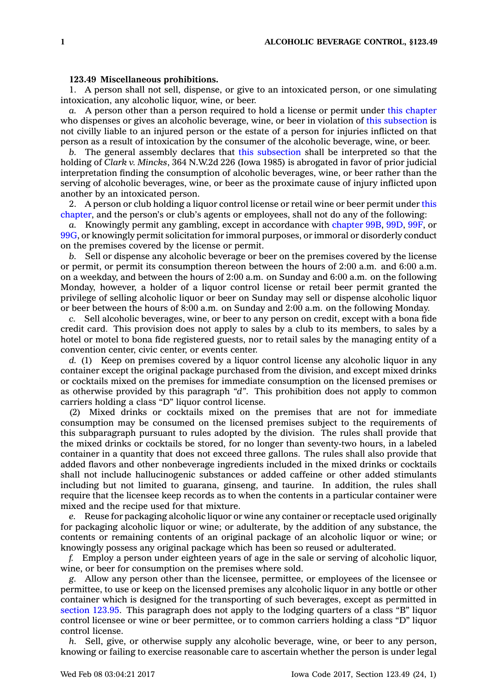## **123.49 Miscellaneous prohibitions.**

1. A person shall not sell, dispense, or give to an intoxicated person, or one simulating intoxication, any alcoholic liquor, wine, or beer.

*a.* A person other than <sup>a</sup> person required to hold <sup>a</sup> license or permit under this [chapter](https://www.legis.iowa.gov/docs/code//123.pdf) who dispenses or gives an alcoholic beverage, wine, or beer in violation of this [subsection](https://www.legis.iowa.gov/docs/code/123.49.pdf) is not civilly liable to an injured person or the estate of <sup>a</sup> person for injuries inflicted on that person as <sup>a</sup> result of intoxication by the consumer of the alcoholic beverage, wine, or beer.

*b.* The general assembly declares that this [subsection](https://www.legis.iowa.gov/docs/code/123.49.pdf) shall be interpreted so that the holding of *Clark v. Mincks*, 364 N.W.2d 226 (Iowa 1985) is abrogated in favor of prior judicial interpretation finding the consumption of alcoholic beverages, wine, or beer rather than the serving of alcoholic beverages, wine, or beer as the proximate cause of injury inflicted upon another by an intoxicated person.

2. A person or club holding <sup>a</sup> liquor control license or retail wine or beer permit under [this](https://www.legis.iowa.gov/docs/code//123.pdf) [chapter](https://www.legis.iowa.gov/docs/code//123.pdf), and the person's or club's agents or employees, shall not do any of the following:

*a.* Knowingly permit any gambling, except in accordance with [chapter](https://www.legis.iowa.gov/docs/code//99B.pdf) 99B, [99D](https://www.legis.iowa.gov/docs/code//99D.pdf), [99F](https://www.legis.iowa.gov/docs/code//99F.pdf), or [99G](https://www.legis.iowa.gov/docs/code//99G.pdf), or knowingly permit solicitation for immoral purposes, or immoral or disorderly conduct on the premises covered by the license or permit.

*b.* Sell or dispense any alcoholic beverage or beer on the premises covered by the license or permit, or permit its consumption thereon between the hours of 2:00 a.m. and 6:00 a.m. on <sup>a</sup> weekday, and between the hours of 2:00 a.m. on Sunday and 6:00 a.m. on the following Monday, however, <sup>a</sup> holder of <sup>a</sup> liquor control license or retail beer permit granted the privilege of selling alcoholic liquor or beer on Sunday may sell or dispense alcoholic liquor or beer between the hours of 8:00 a.m. on Sunday and 2:00 a.m. on the following Monday.

*c.* Sell alcoholic beverages, wine, or beer to any person on credit, except with <sup>a</sup> bona fide credit card. This provision does not apply to sales by <sup>a</sup> club to its members, to sales by <sup>a</sup> hotel or motel to bona fide registered guests, nor to retail sales by the managing entity of <sup>a</sup> convention center, civic center, or events center.

*d.* (1) Keep on premises covered by <sup>a</sup> liquor control license any alcoholic liquor in any container except the original package purchased from the division, and except mixed drinks or cocktails mixed on the premises for immediate consumption on the licensed premises or as otherwise provided by this paragraph *"d"*. This prohibition does not apply to common carriers holding <sup>a</sup> class "D" liquor control license.

(2) Mixed drinks or cocktails mixed on the premises that are not for immediate consumption may be consumed on the licensed premises subject to the requirements of this subparagraph pursuant to rules adopted by the division. The rules shall provide that the mixed drinks or cocktails be stored, for no longer than seventy-two hours, in <sup>a</sup> labeled container in <sup>a</sup> quantity that does not exceed three gallons. The rules shall also provide that added flavors and other nonbeverage ingredients included in the mixed drinks or cocktails shall not include hallucinogenic substances or added caffeine or other added stimulants including but not limited to guarana, ginseng, and taurine. In addition, the rules shall require that the licensee keep records as to when the contents in <sup>a</sup> particular container were mixed and the recipe used for that mixture.

*e.* Reuse for packaging alcoholic liquor or wine any container or receptacle used originally for packaging alcoholic liquor or wine; or adulterate, by the addition of any substance, the contents or remaining contents of an original package of an alcoholic liquor or wine; or knowingly possess any original package which has been so reused or adulterated.

*f.* Employ <sup>a</sup> person under eighteen years of age in the sale or serving of alcoholic liquor, wine, or beer for consumption on the premises where sold.

*g.* Allow any person other than the licensee, permittee, or employees of the licensee or permittee, to use or keep on the licensed premises any alcoholic liquor in any bottle or other container which is designed for the transporting of such beverages, except as permitted in [section](https://www.legis.iowa.gov/docs/code/123.95.pdf) 123.95. This paragraph does not apply to the lodging quarters of <sup>a</sup> class "B" liquor control licensee or wine or beer permittee, or to common carriers holding <sup>a</sup> class "D" liquor control license.

*h.* Sell, give, or otherwise supply any alcoholic beverage, wine, or beer to any person, knowing or failing to exercise reasonable care to ascertain whether the person is under legal